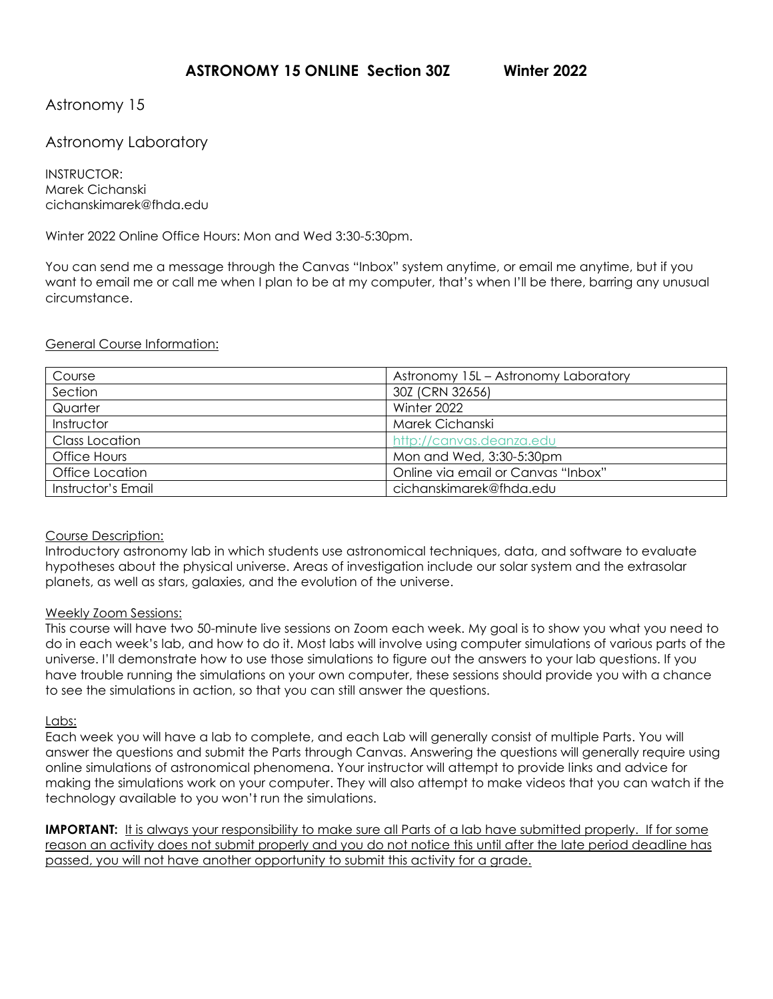## Astronomy 15

## Astronomy Laboratory

INSTRUCTOR: Marek Cichanski cichanskimarek@fhda.edu

Winter 2022 Online Office Hours: Mon and Wed 3:30-5:30pm.

You can send me a message through the Canvas "Inbox" system anytime, or email me anytime, but if you want to email me or call me when I plan to be at my computer, that's when I'll be there, barring any unusual circumstance.

#### General Course Information:

| Course             | Astronomy 15L – Astronomy Laboratory |  |
|--------------------|--------------------------------------|--|
| Section            | 30Z (CRN 32656)                      |  |
| Quarter            | Winter 2022                          |  |
| Instructor         | Marek Cichanski                      |  |
| Class Location     | http://canvas.deanza.edu             |  |
| Office Hours       | Mon and Wed, 3:30-5:30pm             |  |
| Office Location    | Online via email or Canvas "Inbox"   |  |
| Instructor's Email | cichanskimarek@fhda.edu              |  |

#### Course Description:

Introductory astronomy lab in which students use astronomical techniques, data, and software to evaluate hypotheses about the physical universe. Areas of investigation include our solar system and the extrasolar planets, as well as stars, galaxies, and the evolution of the universe.

#### Weekly Zoom Sessions:

This course will have two 50-minute live sessions on Zoom each week. My goal is to show you what you need to do in each week's lab, and how to do it. Most labs will involve using computer simulations of various parts of the universe. I'll demonstrate how to use those simulations to figure out the answers to your lab questions. If you have trouble running the simulations on your own computer, these sessions should provide you with a chance to see the simulations in action, so that you can still answer the questions.

#### Labs:

Each week you will have a lab to complete, and each Lab will generally consist of multiple Parts. You will answer the questions and submit the Parts through Canvas. Answering the questions will generally require using online simulations of astronomical phenomena. Your instructor will attempt to provide links and advice for making the simulations work on your computer. They will also attempt to make videos that you can watch if the technology available to you won't run the simulations.

**IMPORTANT:** It is always your responsibility to make sure all Parts of a lab have submitted properly. If for some reason an activity does not submit properly and you do not notice this until after the late period deadline has passed, you will not have another opportunity to submit this activity for a grade.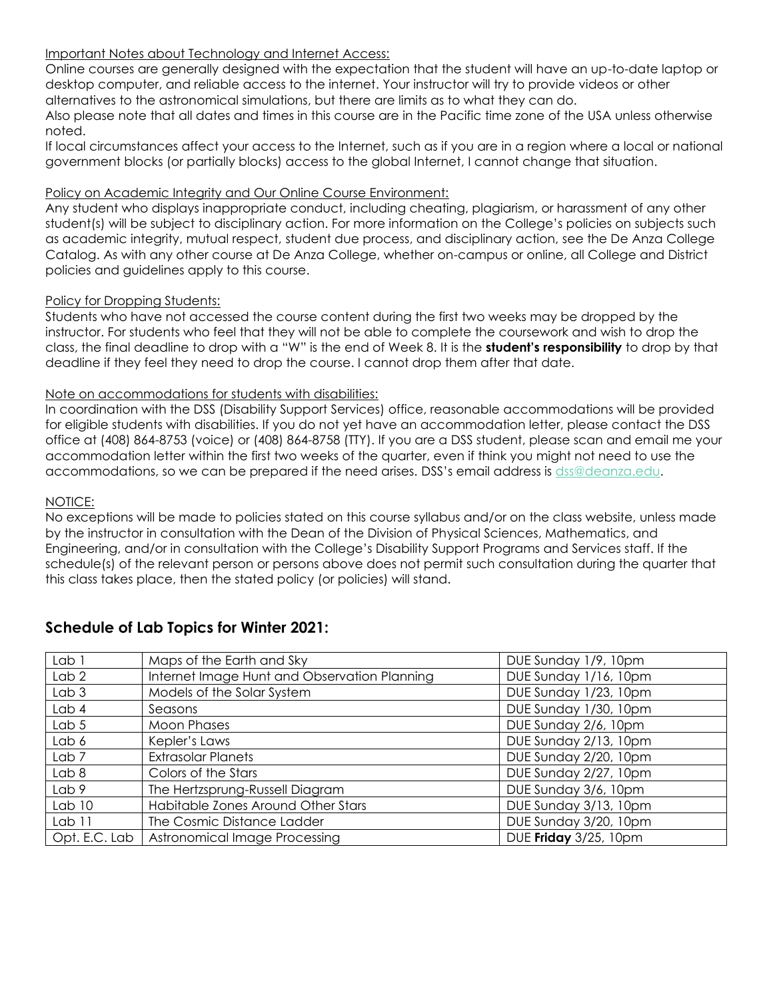## Important Notes about Technology and Internet Access:

Online courses are generally designed with the expectation that the student will have an up-to-date laptop or desktop computer, and reliable access to the internet. Your instructor will try to provide videos or other alternatives to the astronomical simulations, but there are limits as to what they can do.

Also please note that all dates and times in this course are in the Pacific time zone of the USA unless otherwise noted.

If local circumstances affect your access to the Internet, such as if you are in a region where a local or national government blocks (or partially blocks) access to the global Internet, I cannot change that situation.

### Policy on Academic Integrity and Our Online Course Environment:

Any student who displays inappropriate conduct, including cheating, plagiarism, or harassment of any other student(s) will be subject to disciplinary action. For more information on the College's policies on subjects such as academic integrity, mutual respect, student due process, and disciplinary action, see the De Anza College Catalog. As with any other course at De Anza College, whether on-campus or online, all College and District policies and guidelines apply to this course.

## Policy for Dropping Students:

Students who have not accessed the course content during the first two weeks may be dropped by the instructor. For students who feel that they will not be able to complete the coursework and wish to drop the class, the final deadline to drop with a "W" is the end of Week 8. It is the **student's responsibility** to drop by that deadline if they feel they need to drop the course. I cannot drop them after that date.

## Note on accommodations for students with disabilities:

In coordination with the DSS (Disability Support Services) office, reasonable accommodations will be provided for eligible students with disabilities. If you do not yet have an accommodation letter, please contact the DSS office at (408) 864-8753 (voice) or (408) 864-8758 (TTY). If you are a DSS student, please scan and email me your accommodation letter within the first two weeks of the quarter, even if think you might not need to use the accommodations, so we can be prepared if the need arises. DSS's email address is [dss@deanza.edu.](mailto:dss@deanza.edu)

### NOTICE:

No exceptions will be made to policies stated on this course syllabus and/or on the class website, unless made by the instructor in consultation with the Dean of the Division of Physical Sciences, Mathematics, and Engineering, and/or in consultation with the College's Disability Support Programs and Services staff. If the schedule(s) of the relevant person or persons above does not permit such consultation during the quarter that this class takes place, then the stated policy (or policies) will stand.

| Lab 1             | Maps of the Earth and Sky                    | DUE Sunday 1/9, 10pm  |
|-------------------|----------------------------------------------|-----------------------|
| Lab <sub>2</sub>  | Internet Image Hunt and Observation Planning | DUE Sunday 1/16, 10pm |
| Lab <sub>3</sub>  | Models of the Solar System                   | DUE Sunday 1/23, 10pm |
| Lab <sub>4</sub>  | Seasons                                      | DUE Sunday 1/30, 10pm |
| Lab <sub>5</sub>  | Moon Phases                                  | DUE Sunday 2/6, 10pm  |
| Lab 6             | Kepler's Laws                                | DUE Sunday 2/13, 10pm |
| Lab <sub>7</sub>  | <b>Extrasolar Planets</b>                    | DUE Sunday 2/20, 10pm |
| Lab <sub>8</sub>  | Colors of the Stars                          | DUE Sunday 2/27, 10pm |
| Lab 9             | The Hertzsprung-Russell Diagram              | DUE Sunday 3/6, 10pm  |
| Lab <sub>10</sub> | Habitable Zones Around Other Stars           | DUE Sunday 3/13, 10pm |
| Lab 11            | The Cosmic Distance Ladder                   | DUE Sunday 3/20, 10pm |
| Opt. E.C. Lab     | Astronomical Image Processing                | DUE Friday 3/25, 10pm |

# **Schedule of Lab Topics for Winter 2021:**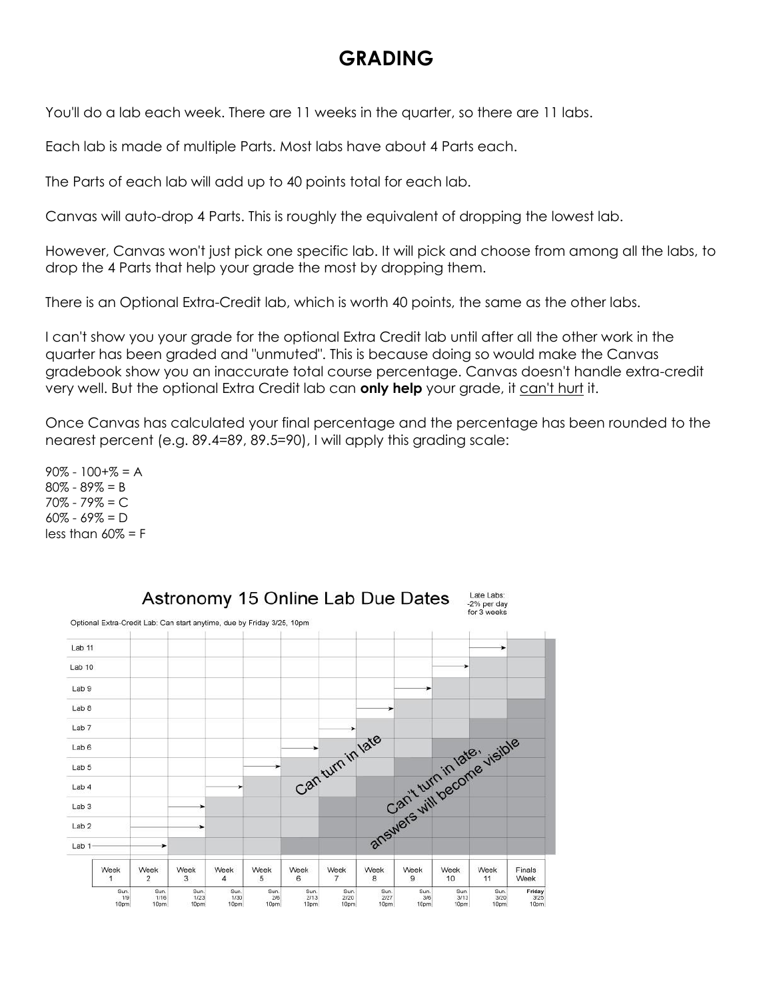# **GRADING**

You'll do a lab each week. There are 11 weeks in the quarter, so there are 11 labs.

Each lab is made of multiple Parts. Most labs have about 4 Parts each.

The Parts of each lab will add up to 40 points total for each lab.

Canvas will auto-drop 4 Parts. This is roughly the equivalent of dropping the lowest lab.

However, Canvas won't just pick one specific lab. It will pick and choose from among all the labs, to drop the 4 Parts that help your grade the most by dropping them.

There is an Optional Extra-Credit lab, which is worth 40 points, the same as the other labs.

I can't show you your grade for the optional Extra Credit lab until after all the other work in the quarter has been graded and "unmuted". This is because doing so would make the Canvas gradebook show you an inaccurate total course percentage. Canvas doesn't handle extra-credit very well. But the optional Extra Credit lab can **only help** your grade, it can't hurt it.

Once Canvas has calculated your final percentage and the percentage has been rounded to the nearest percent (e.g. 89.4=89, 89.5=90), I will apply this grading scale:

 $90\% - 100 + \% = A$ 80% - 89% = B 70% - 79% = C  $60\% - 69\% = D$ less than  $60\% = F$